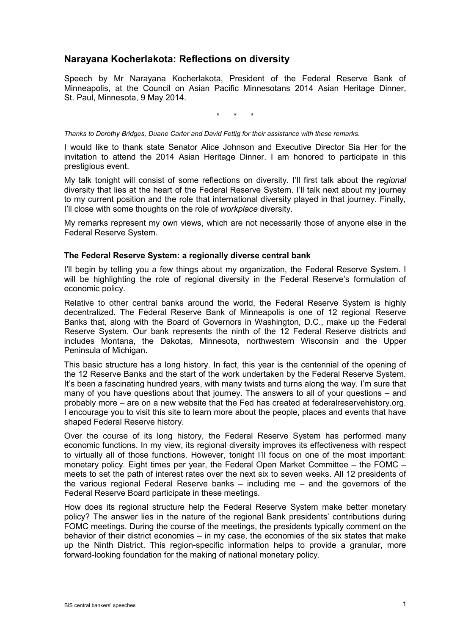## **Narayana Kocherlakota: Reflections on diversity**

Speech by Mr Narayana Kocherlakota, President of the Federal Reserve Bank of Minneapolis, at the Council on Asian Pacific Minnesotans 2014 Asian Heritage Dinner, St. Paul, Minnesota, 9 May 2014.

\* \* \*

*Thanks to Dorothy Bridges, Duane Carter and David Fettig for their assistance with these remarks.*

I would like to thank state Senator Alice Johnson and Executive Director Sia Her for the invitation to attend the 2014 Asian Heritage Dinner. I am honored to participate in this prestigious event.

My talk tonight will consist of some reflections on diversity. I'll first talk about the *regional*  diversity that lies at the heart of the Federal Reserve System. I'll talk next about my journey to my current position and the role that international diversity played in that journey. Finally, I'll close with some thoughts on the role of *workplace* diversity.

My remarks represent my own views, which are not necessarily those of anyone else in the Federal Reserve System.

## **The Federal Reserve System: a regionally diverse central bank**

I'll begin by telling you a few things about my organization, the Federal Reserve System. I will be highlighting the role of regional diversity in the Federal Reserve's formulation of economic policy.

Relative to other central banks around the world, the Federal Reserve System is highly decentralized. The Federal Reserve Bank of Minneapolis is one of 12 regional Reserve Banks that, along with the Board of Governors in Washington, D.C., make up the Federal Reserve System. Our bank represents the ninth of the 12 Federal Reserve districts and includes Montana, the Dakotas, Minnesota, northwestern Wisconsin and the Upper Peninsula of Michigan.

This basic structure has a long history. In fact, this year is the centennial of the opening of the 12 Reserve Banks and the start of the work undertaken by the Federal Reserve System. It's been a fascinating hundred years, with many twists and turns along the way. I'm sure that many of you have questions about that journey. The answers to all of your questions – and probably more – are on a new website that the Fed has created at federalreservehistory.org. I encourage you to visit this site to learn more about the people, places and events that have shaped Federal Reserve history.

Over the course of its long history, the Federal Reserve System has performed many economic functions. In my view, its regional diversity improves its effectiveness with respect to virtually all of those functions. However, tonight I'll focus on one of the most important: monetary policy. Eight times per year, the Federal Open Market Committee – the FOMC – meets to set the path of interest rates over the next six to seven weeks. All 12 presidents of the various regional Federal Reserve banks – including me – and the governors of the Federal Reserve Board participate in these meetings.

How does its regional structure help the Federal Reserve System make better monetary policy? The answer lies in the nature of the regional Bank presidents' contributions during FOMC meetings. During the course of the meetings, the presidents typically comment on the behavior of their district economies – in my case, the economies of the six states that make up the Ninth District. This region-specific information helps to provide a granular, more forward-looking foundation for the making of national monetary policy.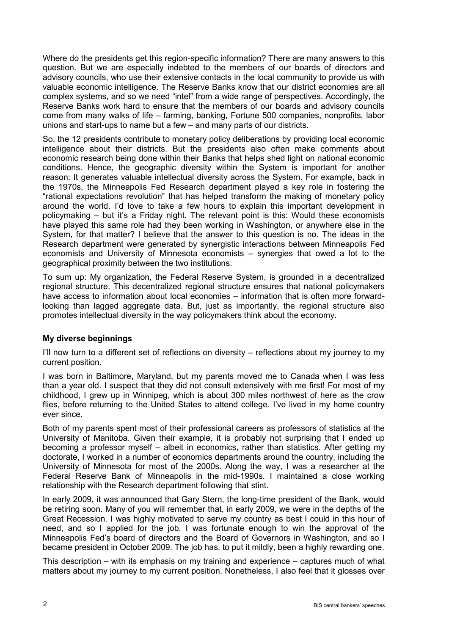Where do the presidents get this region-specific information? There are many answers to this question. But we are especially indebted to the members of our boards of directors and advisory councils, who use their extensive contacts in the local community to provide us with valuable economic intelligence. The Reserve Banks know that our district economies are all complex systems, and so we need "intel" from a wide range of perspectives. Accordingly, the Reserve Banks work hard to ensure that the members of our boards and advisory councils come from many walks of life – farming, banking, Fortune 500 companies, nonprofits, labor unions and start-ups to name but a few – and many parts of our districts.

So, the 12 presidents contribute to monetary policy deliberations by providing local economic intelligence about their districts. But the presidents also often make comments about economic research being done within their Banks that helps shed light on national economic conditions. Hence, the geographic diversity within the System is important for another reason: It generates valuable intellectual diversity across the System. For example, back in the 1970s, the Minneapolis Fed Research department played a key role in fostering the "rational expectations revolution" that has helped transform the making of monetary policy around the world. I'd love to take a few hours to explain this important development in policymaking – but it's a Friday night. The relevant point is this: Would these economists have played this same role had they been working in Washington, or anywhere else in the System, for that matter? I believe that the answer to this question is no. The ideas in the Research department were generated by synergistic interactions between Minneapolis Fed economists and University of Minnesota economists – synergies that owed a lot to the geographical proximity between the two institutions.

To sum up: My organization, the Federal Reserve System, is grounded in a decentralized regional structure. This decentralized regional structure ensures that national policymakers have access to information about local economies – information that is often more forwardlooking than lagged aggregate data. But, just as importantly, the regional structure also promotes intellectual diversity in the way policymakers think about the economy.

## **My diverse beginnings**

I'll now turn to a different set of reflections on diversity – reflections about my journey to my current position.

I was born in Baltimore, Maryland, but my parents moved me to Canada when I was less than a year old. I suspect that they did not consult extensively with me first! For most of my childhood, I grew up in Winnipeg, which is about 300 miles northwest of here as the crow flies, before returning to the United States to attend college. I've lived in my home country ever since.

Both of my parents spent most of their professional careers as professors of statistics at the University of Manitoba. Given their example, it is probably not surprising that I ended up becoming a professor myself – albeit in economics, rather than statistics. After getting my doctorate, I worked in a number of economics departments around the country, including the University of Minnesota for most of the 2000s. Along the way, I was a researcher at the Federal Reserve Bank of Minneapolis in the mid-1990s. I maintained a close working relationship with the Research department following that stint.

In early 2009, it was announced that Gary Stern, the long-time president of the Bank, would be retiring soon. Many of you will remember that, in early 2009, we were in the depths of the Great Recession. I was highly motivated to serve my country as best I could in this hour of need, and so I applied for the job. I was fortunate enough to win the approval of the Minneapolis Fed's board of directors and the Board of Governors in Washington, and so I became president in October 2009. The job has, to put it mildly, been a highly rewarding one.

This description – with its emphasis on my training and experience – captures much of what matters about my journey to my current position. Nonetheless, I also feel that it glosses over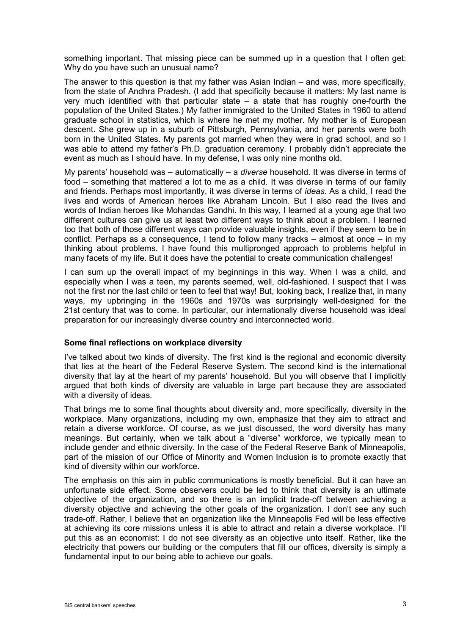something important. That missing piece can be summed up in a question that I often get: Why do you have such an unusual name?

The answer to this question is that my father was Asian Indian – and was, more specifically, from the state of Andhra Pradesh. (I add that specificity because it matters: My last name is very much identified with that particular state – a state that has roughly one-fourth the population of the United States.) My father immigrated to the United States in 1960 to attend graduate school in statistics, which is where he met my mother. My mother is of European descent. She grew up in a suburb of Pittsburgh, Pennsylvania, and her parents were both born in the United States. My parents got married when they were in grad school, and so I was able to attend my father's Ph.D. graduation ceremony. I probably didn't appreciate the event as much as I should have. In my defense, I was only nine months old.

My parents' household was – automatically – a *diverse* household. It was diverse in terms of food – something that mattered a lot to me as a child. It was diverse in terms of our family and friends. Perhaps most importantly, it was diverse in terms of *ideas*. As a child, I read the lives and words of American heroes like Abraham Lincoln. But I also read the lives and words of Indian heroes like Mohandas Gandhi. In this way, I learned at a young age that two different cultures can give us at least two different ways to think about a problem. I learned too that both of those different ways can provide valuable insights, even if they seem to be in conflict. Perhaps as a consequence, I tend to follow many tracks – almost at once – in my thinking about problems. I have found this multipronged approach to problems helpful in many facets of my life. But it does have the potential to create communication challenges!

I can sum up the overall impact of my beginnings in this way. When I was a child, and especially when I was a teen, my parents seemed, well, old-fashioned. I suspect that I was not the first nor the last child or teen to feel that way! But, looking back, I realize that, in many ways, my upbringing in the 1960s and 1970s was surprisingly well-designed for the 21st century that was to come. In particular, our internationally diverse household was ideal preparation for our increasingly diverse country and interconnected world.

## **Some final reflections on workplace diversity**

I've talked about two kinds of diversity. The first kind is the regional and economic diversity that lies at the heart of the Federal Reserve System. The second kind is the international diversity that lay at the heart of my parents' household. But you will observe that I implicitly argued that both kinds of diversity are valuable in large part because they are associated with a diversity of ideas.

That brings me to some final thoughts about diversity and, more specifically, diversity in the workplace. Many organizations, including my own, emphasize that they aim to attract and retain a diverse workforce. Of course, as we just discussed, the word diversity has many meanings. But certainly, when we talk about a "diverse" workforce, we typically mean to include gender and ethnic diversity. In the case of the Federal Reserve Bank of Minneapolis, part of the mission of our Office of Minority and Women Inclusion is to promote exactly that kind of diversity within our workforce.

The emphasis on this aim in public communications is mostly beneficial. But it can have an unfortunate side effect. Some observers could be led to think that diversity is an ultimate objective of the organization, and so there is an implicit trade-off between achieving a diversity objective and achieving the other goals of the organization. I don't see any such trade-off. Rather, I believe that an organization like the Minneapolis Fed will be less effective at achieving its core missions unless it is able to attract and retain a diverse workplace. I'll put this as an economist: I do not see diversity as an objective unto itself. Rather, like the electricity that powers our building or the computers that fill our offices, diversity is simply a fundamental input to our being able to achieve our goals.